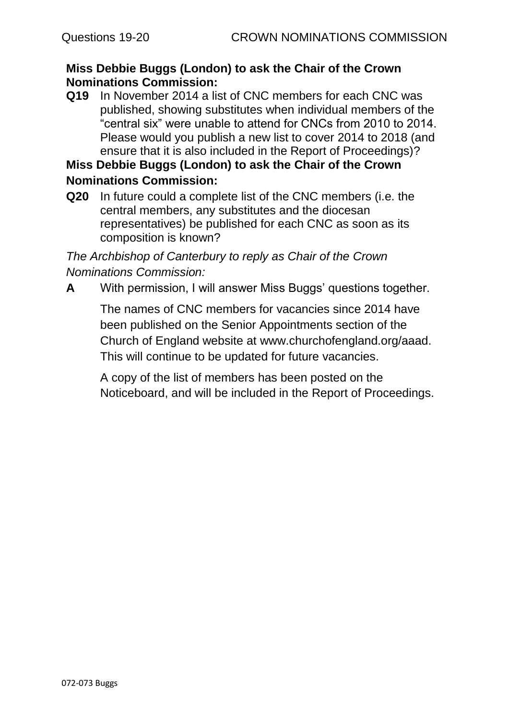# **Miss Debbie Buggs (London) to ask the Chair of the Crown Nominations Commission:**

**Q19** In November 2014 a list of CNC members for each CNC was published, showing substitutes when individual members of the "central six" were unable to attend for CNCs from 2010 to 2014. Please would you publish a new list to cover 2014 to 2018 (and ensure that it is also included in the Report of Proceedings)?

# **Miss Debbie Buggs (London) to ask the Chair of the Crown Nominations Commission:**

**Q20** In future could a complete list of the CNC members (i.e. the central members, any substitutes and the diocesan representatives) be published for each CNC as soon as its composition is known?

*The Archbishop of Canterbury to reply as Chair of the Crown Nominations Commission:*

**A** With permission, I will answer Miss Buggs' questions together.

The names of CNC members for vacancies since 2014 have been published on the Senior Appointments section of the Church of England website at www.churchofengland.org/aaad. This will continue to be updated for future vacancies.

A copy of the list of members has been posted on the Noticeboard, and will be included in the Report of Proceedings.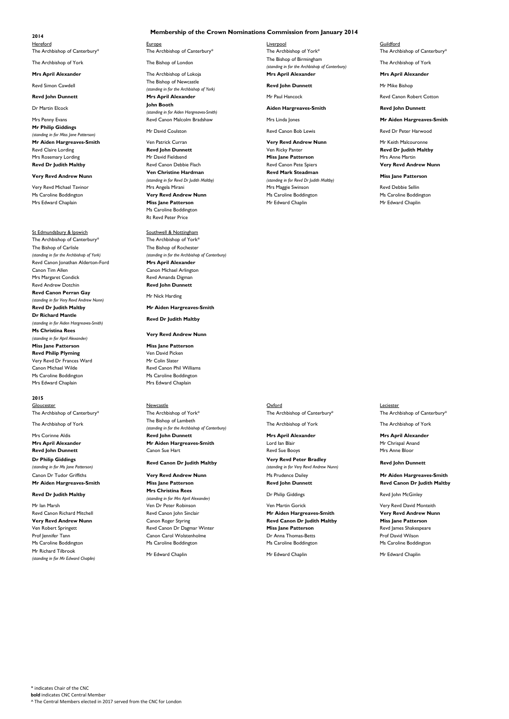### **Membership of the Crown Nominations Commission from January 2014**

Revd Simon Cawdell **Reverling Canada Exercise** The Bishop of Newcastle *(standing in for the Archbishop of York)* **Revd John Dunnett Mrs April Alexander** Mrs 2011 Mr Paul Hancock Mr Paul Hancock Revd Canon Robert Cotton **John Booth** *(standing in for Aiden Hargreaves-Smith)* Mrs Penny Evans **Mraiden Hargreaves-Smith** Revd Canon Malcolm Bradshaw Mrs Linda Jones **Mraiden Hargreaves-Smith** 

Hereford Europe Liverpool Guildford The Archbishop of Canterbury\* The Archbishop of Canterbury\* The Archbishop of York\* The Archbishop of Canterbury\* The Archbishop of York The Bishop of London The Bishop of Birmingham *(standing in for the Archbishop of Canterbury)* **Mrs April Alexander Mrs April Alexander** The Archbishop of Lokoja **Mrs April Alexander Mrs April Alexander Mrs April Alexander** 

**Revd John Dunnett** Mr Mike Bishop

## **2014**

The Archbishop of York

**Mr Philip Giddings** *(standing in for Miss Jane Patterson)* **Mr Aiden Hargreaves-Smith Ven Patrick Curran Very Revd Andrew Nunn** Mr Keith Malcouronne

Dr Martin Elcock

### **Aiden Hargreaves-Smith Revd John Dunnett**

Revd Claire Lording **Revart Claire Lording Reverse Reverse Reverse Reverse Reverse Reverse Reverse Reverse Reverse Reverse Reverse Reverse Reverse Reverse Reverse Reverse Reverse Reverse Reverse Reverse Reverse Reverse Rev** Mrs Rosemary Lording **Mrs Anne Martin** Mr David Fieldsend **Miss Jane Patterson** Miss Jane Patterson Mrs Anne Martin **Revd Dr Judith Maltby Canon Debbie Flach Revd Canon Pete Canon Pete Spiers Revd Canon Pete Spiers Revd Andrew Nunn Ven Christine Hardman** *(standing in for Revd Dr Judith Maltby)* Very Revd Michael Tavinor **Mrs Angela Mirani Mrs Angela Mirani** Mrs Maggie Swinson Mrs Maggie Swinson Revd Debbie Sellin Ms Caroline Boddington **Very Revd Andrew Nunn** Ms Caroline Boddington Ms Caroline Boddington Ms Caroline Boddington Mrs Edward Chaplain **Miss Jane Patterson** Mr Edward Chaplin Mr Edward Chaplin Ms Caroline Boddington Rt Revd Peter Price

The Archbishop of Canterbury\* The Archbishop of York\* The Bishop of Carlisle *(standing in for the Archbishop of York)* Revd Canon Jonathan Alderton-Ford **Mrs April Alexander** Canon Tim Allen Canon Michael Arlington Mrs Margaret Condick **Reverling Condicts** Revd Amanda Digman Revd Andrew Dotchin **Revd John Dunnett Revd Canon Perran Gay** *(standing in for Very Revd Andrew Nunn)* **Revd Dr Judith Maltby Mr Aiden Hargreaves-Smith Dr Richard Mantle** *(standing in for Aiden Hargreaves-Smith)* **Ms Christina Rees** *(standing in for April Alexander)* **Miss Jane Patterson Miss Jane Patterson Revd Philip Plyming** Ven David Picken Very Revd Dr Frances Ward Mr Colin Slater Canon Michael Wilde **Reverlies Canon Phil Williams** Ms Caroline Boddington Ms Caroline Boddington Mrs Edward Chaplain **Mrs Edward Chaplain** 

Mr David Coulston Revd Canon Bob Lewis Revd Dr Peter Harwood

### **Very Revd Andrew Nunn**

St Edmundsbury & Ipswich St Edmundsbury & Ipswich

**Revd Mark Steadman** *(standing in for Revd Dr Judith Maltby)*

**Miss Jane Patterson**

**Revd Canon Dr Judith Maltby Very Revd Peter Bradley**  *(standing in for Very Revd Andrew Nunn)* Canon Dr Tudor Griffiths **Very Revd Andrew Nunn** Ms Prudence Dailey Museum Ms Prudence Dailey **Mr Aiden Hargreaves-Smith** 

Revd Canon Richard Mitchell **Mr Aiden Hargreaves-Smith Very Revd Andrew Nunn Revd Canon John Sinclair Mr Aiden Hargreaves-Smith Very Revd Andrew Nunn Very Revd Andrew Nunn** Canon Roger Styring **Revd Canon Dr Judith Maltby Miss Jane Patterson** Ven Robert Springett Revd Canon Dr Dagmar Winter **Miss Jane Patterson** Revd James Shakespeare Prof Jennifer Tann Canon Carol Wolstenholme Canon Carol Wolstenholme Dr Anna Thomas-Betts Prof David Wilson Prof David Wilson Ms Caroline Boddington Ms Caroline Boddington Ms Caroline Boddington Ms Caroline Boddington Ms Caroline Boddington

The Bishop of Rochester *(standing in for the Archbishop of Canterbury)*

Mr Nick Harding

**Revd Dr Judith Maltby**

**Very Revd Andrew Nunn**

The Archbishop of Canterbury\* The Archbishop of York\* The Archbishop of Canterbury\* The Archbishop of Canterbury\* The Archbishop of Canterbury\* The Archbishop of York The Bishop of Lambeth *(standing in for the Archbishop of Canterbury)* Mrs Corinne Aldis **Revd John Dunnett Mrs April Alexander Mrs April Alexander Mrs April Alexander Mr Aiden Hargreaves-Smith** Lord Ian Blair **Mr Andrew Mr Chrispal Anand Revd John Dunnett** Canon Sue Hart Canon Sue Hart Revd Sue Booys New Sue Boots Mrs Anne Bloor

# **2015**

Gloucester Newcastle Oxford Leciester

The Archbishop of York The Archbishop of York

**Dr Philip Giddings** *(standing in for Ms Jane Patterson)*

**Revd John Dunnett**

Dr Philip Giddings **Reverling** Revd John McGinley

**Mr Aiden Hargreaves-Smith Miss Jane Patterson Revd John Dunnett Revd Canon Dr Judith Maltby Revd Dr Judith Maltby Mrs Christina Rees** *(standing in for Mrs April Alexander)* Mr Ian Marsh Ven Dr Peter Robinson Ven Martin Gorick Very Revd David Monteith

Mr Richard Tilbrook *(standing in for Mr Edward Chaplin)*

Mr Edward Chaplin Mr Edward Chaplin Mr Edward Chaplin

\* indicates Chair of the CNC

**bold** indicates CNC Central Member

^ The Central Members elected in 2017 served from the CNC for London